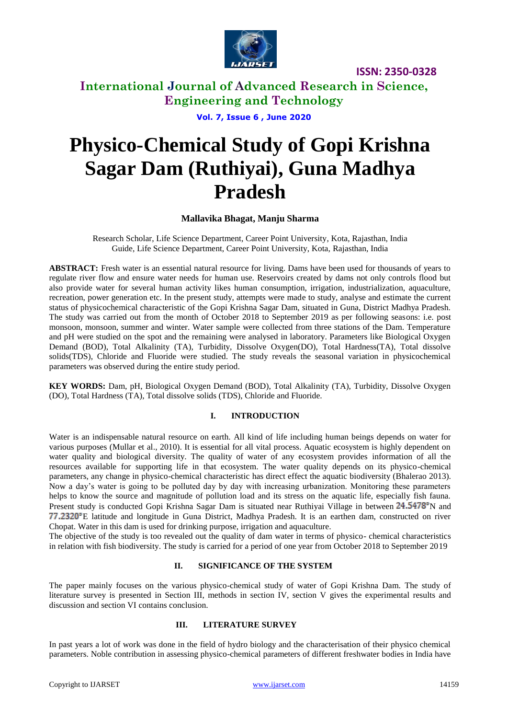

# **International Journal of Advanced Research in Science, Engineering and Technology**

**Vol. 7, Issue 6 , June 2020**

# **Physico-Chemical Study of Gopi Krishna Sagar Dam (Ruthiyai), Guna Madhya Pradesh**

## **Mallavika Bhagat, Manju Sharma**

Research Scholar, Life Science Department, Career Point University, Kota, Rajasthan, India Guide, Life Science Department, Career Point University, Kota, Rajasthan, India

**ABSTRACT:** Fresh water is an essential natural resource for living. Dams have been used for thousands of years to regulate river flow and ensure water needs for human use. Reservoirs created by dams not only controls flood but also provide water for several human activity likes human consumption, irrigation, industrialization, aquaculture, recreation, power generation etc. In the present study, attempts were made to study, analyse and estimate the current status of physicochemical characteristic of the Gopi Krishna Sagar Dam, situated in Guna, District Madhya Pradesh. The study was carried out from the month of October 2018 to September 2019 as per following seasons: i.e. post monsoon, monsoon, summer and winter. Water sample were collected from three stations of the Dam. Temperature and pH were studied on the spot and the remaining were analysed in laboratory. Parameters like Biological Oxygen Demand (BOD), Total Alkalinity (TA), Turbidity, Dissolve Oxygen(DO), Total Hardness(TA), Total dissolve solids(TDS), Chloride and Fluoride were studied. The study reveals the seasonal variation in physicochemical parameters was observed during the entire study period.

**KEY WORDS:** Dam, pH, Biological Oxygen Demand (BOD), Total Alkalinity (TA), Turbidity, Dissolve Oxygen (DO), Total Hardness (TA), Total dissolve solids (TDS), Chloride and Fluoride.

## **I. INTRODUCTION**

Water is an indispensable natural resource on earth. All kind of life including human beings depends on water for various purposes (Mullar et al., 2010). It is essential for all vital process. Aquatic ecosystem is highly dependent on water quality and biological diversity. The quality of water of any ecosystem provides information of all the resources available for supporting life in that ecosystem. The water quality depends on its physico-chemical parameters, any change in physico-chemical characteristic has direct effect the aquatic biodiversity (Bhalerao 2013). Now a day's water is going to be polluted day by day with increasing urbanization. Monitoring these parameters helps to know the source and magnitude of pollution load and its stress on the aquatic life, especially fish fauna. Present study is conducted Gopi Krishna Sagar Dam is situated near Ruthiyai Village in between 24.5478°N and E latitude and longitude in Guna District, Madhya Pradesh. It is an earthen dam, constructed on river Chopat. Water in this dam is used for drinking purpose, irrigation and aquaculture.

The objective of the study is too revealed out the quality of dam water in terms of physico- chemical characteristics in relation with fish biodiversity. The study is carried for a period of one year from October 2018 to September 2019

#### **II. SIGNIFICANCE OF THE SYSTEM**

The paper mainly focuses on the various physico-chemical study of water of Gopi Krishna Dam. The study of literature survey is presented in Section III, methods in section IV, section V gives the experimental results and discussion and section VI contains conclusion.

#### **III. LITERATURE SURVEY**

In past years a lot of work was done in the field of hydro biology and the characterisation of their physico chemical parameters. Noble contribution in assessing physico-chemical parameters of different freshwater bodies in India have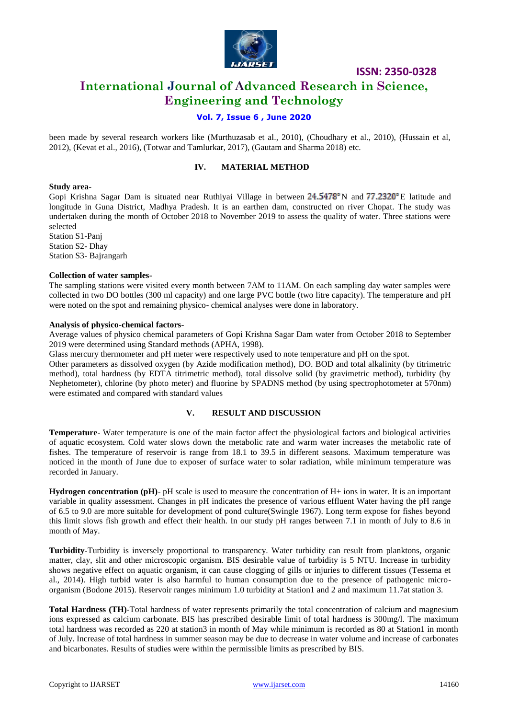

# **International Journal of Advanced Research in Science, Engineering and Technology**

## **Vol. 7, Issue 6 , June 2020**

been made by several research workers like (Murthuzasab et al., 2010), (Choudhary et al., 2010), (Hussain et al, 2012), (Kevat et al., 2016), (Totwar and Tamlurkar, 2017), (Gautam and Sharma 2018) etc.

#### **IV. MATERIAL METHOD**

#### **Study area-**

Gopi Krishna Sagar Dam is situated near Ruthiyai Village in between  $24.5478^{\circ}$  N and  $77.2320^{\circ}$  E latitude and longitude in Guna District, Madhya Pradesh. It is an earthen dam, constructed on river Chopat. The study was undertaken during the month of October 2018 to November 2019 to assess the quality of water. Three stations were selected

Station S1-Panj Station S2- Dhay Station S3- Bajrangarh

#### **Collection of water samples-**

The sampling stations were visited every month between 7AM to 11AM. On each sampling day water samples were collected in two DO bottles (300 ml capacity) and one large PVC bottle (two litre capacity). The temperature and pH were noted on the spot and remaining physico- chemical analyses were done in laboratory.

#### **Analysis of physico-chemical factors-**

Average values of physico chemical parameters of Gopi Krishna Sagar Dam water from October 2018 to September 2019 were determined using Standard methods (APHA, 1998).

Glass mercury thermometer and pH meter were respectively used to note temperature and pH on the spot.

Other parameters as dissolved oxygen (by Azide modification method), DO. BOD and total alkalinity (by titrimetric method), total hardness (by EDTA titrimetric method), total dissolve solid (by gravimetric method), turbidity (by Nephetometer), chlorine (by photo meter) and fluorine by SPADNS method (by using spectrophotometer at 570nm) were estimated and compared with standard values

#### **V. RESULT AND DISCUSSION**

**Temperature**- Water temperature is one of the main factor affect the physiological factors and biological activities of aquatic ecosystem. Cold water slows down the metabolic rate and warm water increases the metabolic rate of fishes. The temperature of reservoir is range from 18.1 to 39.5 in different seasons. Maximum temperature was noticed in the month of June due to exposer of surface water to solar radiation, while minimum temperature was recorded in January.

**Hydrogen concentration (pH)**- pH scale is used to measure the concentration of H+ ions in water. It is an important variable in quality assessment. Changes in pH indicates the presence of various effluent Water having the pH range of 6.5 to 9.0 are more suitable for development of pond culture(Swingle 1967). Long term expose for fishes beyond this limit slows fish growth and effect their health. In our study pH ranges between 7.1 in month of July to 8.6 in month of May.

**Turbidity-**Turbidity is inversely proportional to transparency. Water turbidity can result from planktons, organic matter, clay, slit and other microscopic organism. BIS desirable value of turbidity is 5 NTU. Increase in turbidity shows negative effect on aquatic organism, it can cause clogging of gills or injuries to different tissues (Tessema et al., 2014). High turbid water is also harmful to human consumption due to the presence of pathogenic microorganism (Bodone 2015). Reservoir ranges minimum 1.0 turbidity at Station1 and 2 and maximum 11.7at station 3.

**Total Hardness (TH)-**Total hardness of water represents primarily the total concentration of calcium and magnesium ions expressed as calcium carbonate. BIS has prescribed desirable limit of total hardness is 300mg/l. The maximum total hardness was recorded as 220 at station3 in month of May while minimum is recorded as 80 at Station1 in month of July. Increase of total hardness in summer season may be due to decrease in water volume and increase of carbonates and bicarbonates. Results of studies were within the permissible limits as prescribed by BIS.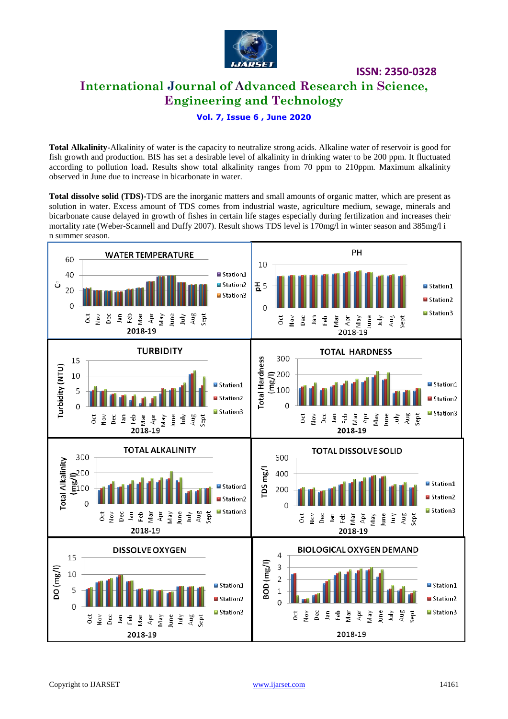

**International Journal of Advanced Research in Science, Engineering and Technology**

**ISSN: 2350-0328**

## **Vol. 7, Issue 6 , June 2020**

**Total Alkalinity-**Alkalinity of water is the capacity to neutralize strong acids. Alkaline water of reservoir is good for fish growth and production. BIS has set a desirable level of alkalinity in drinking water to be 200 ppm. It fluctuated according to pollution load**.** Results show total alkalinity ranges from 70 ppm to 210ppm. Maximum alkalinity observed in June due to increase in bicarbonate in water.

**Total dissolve solid (TDS)-**TDS are the inorganic matters and small amounts of organic matter, which are present as solution in water. Excess amount of TDS comes from industrial waste, agriculture medium, sewage, minerals and bicarbonate cause delayed in growth of fishes in certain life stages especially during fertilization and increases their mortality rate (Weber-Scannell and Duffy 2007). Result shows TDS level is 170mg/l in winter season and 385mg/l i n summer season.

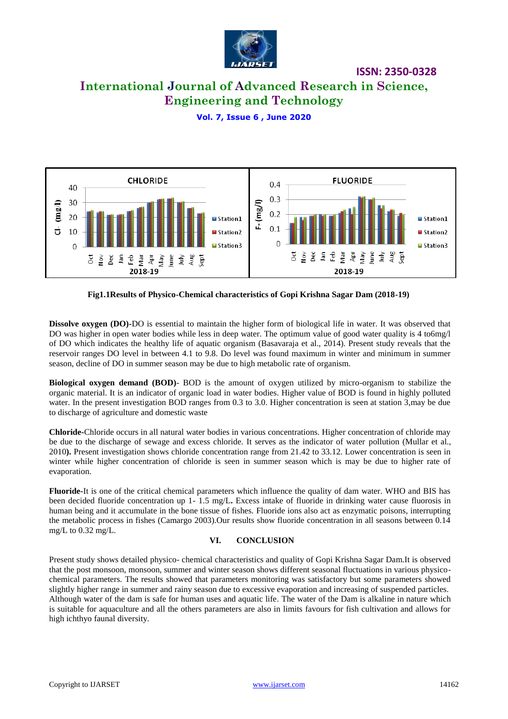

# **International Journal of Advanced Research in Science, Engineering and Technology**

## **Vol. 7, Issue 6 , June 2020**



#### **Fig1.1Results of Physico-Chemical characteristics of Gopi Krishna Sagar Dam (2018-19)**

**Dissolve oxygen (DO)-**DO is essential to maintain the higher form of biological life in water. It was observed that DO was higher in open water bodies while less in deep water. The optimum value of good water quality is 4 to6mg/l of DO which indicates the healthy life of aquatic organism (Basavaraja et al., 2014). Present study reveals that the reservoir ranges DO level in between 4.1 to 9.8. Do level was found maximum in winter and minimum in summer season, decline of DO in summer season may be due to high metabolic rate of organism.

**Biological oxygen demand (BOD)**- BOD is the amount of oxygen utilized by micro-organism to stabilize the organic material. It is an indicator of organic load in water bodies. Higher value of BOD is found in highly polluted water. In the present investigation BOD ranges from 0.3 to 3.0. Higher concentration is seen at station 3, may be due to discharge of agriculture and domestic waste

**Chloride-**Chloride occurs in all natural water bodies in various concentrations. Higher concentration of chloride may be due to the discharge of sewage and excess chloride. It serves as the indicator of water pollution (Mullar et al., 2010**).** Present investigation shows chloride concentration range from 21.42 to 33.12. Lower concentration is seen in winter while higher concentration of chloride is seen in summer season which is may be due to higher rate of evaporation.

**Fluoride-**It is one of the critical chemical parameters which influence the quality of dam water. WHO and BIS has been decided fluoride concentration up 1- 1.5 mg/L**.** Excess intake of fluoride in drinking water cause fluorosis in human being and it accumulate in the bone tissue of fishes. Fluoride ions also act as enzymatic poisons, interrupting the metabolic process in fishes (Camargo 2003).Our results show fluoride concentration in all seasons between 0.14 mg/L to 0.32 mg/L.

#### **VI. CONCLUSION**

Present study shows detailed physico- chemical characteristics and quality of Gopi Krishna Sagar Dam.It is observed that the post monsoon, monsoon, summer and winter season shows different seasonal fluctuations in various physicochemical parameters. The results showed that parameters monitoring was satisfactory but some parameters showed slightly higher range in summer and rainy season due to excessive evaporation and increasing of suspended particles. Although water of the dam is safe for human uses and aquatic life. The water of the Dam is alkaline in nature which is suitable for aquaculture and all the others parameters are also in limits favours for fish cultivation and allows for high ichthyo faunal diversity.